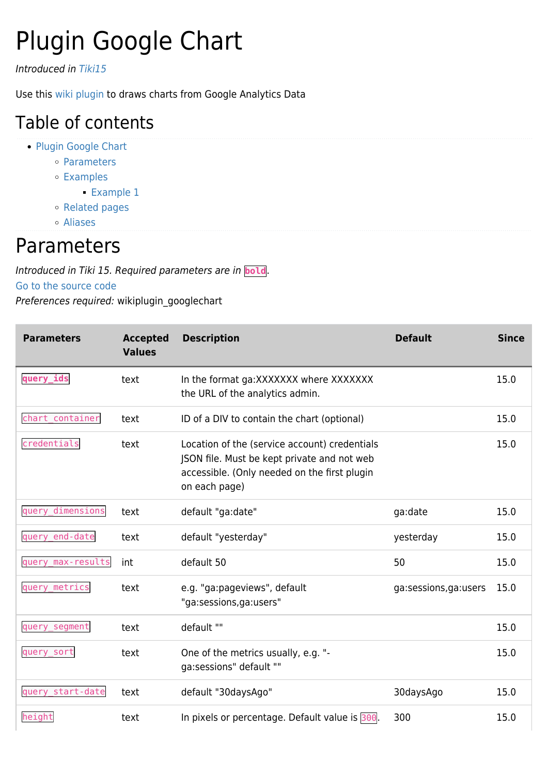# Plugin Google Chart

Introduced in [Tiki15](https://doc.tiki.org/Tiki15)

Use this [wiki plugin](https://doc.tiki.org/wiki%20plugin) to draws charts from Google Analytics Data

### Table of contents

- [Plugin Google Chart](#page--1-0)
	- [Parameters](#page--1-0)
	- [Examples](#page--1-0)
		- [Example 1](#page--1-0)
	- o [Related pages](#page--1-0)
	- [Aliases](#page--1-0)

### Parameters

Introduced in Tiki 15. Required parameters are in **bold**.

#### [Go to the source code](https://gitlab.com/tikiwiki/tiki/-/blob/master/lib/wiki-plugins/wikiplugin_googlechart.php)

Preferences required: wikiplugin\_googlechart

| <b>Parameters</b> | <b>Accepted</b><br><b>Values</b> | <b>Description</b>                                                                                                                                            | <b>Default</b>       | <b>Since</b> |
|-------------------|----------------------------------|---------------------------------------------------------------------------------------------------------------------------------------------------------------|----------------------|--------------|
| query_ids         | text                             | In the format ga: XXXXXXX where XXXXXXX<br>the URL of the analytics admin.                                                                                    |                      | 15.0         |
| chart_container   | text                             | ID of a DIV to contain the chart (optional)                                                                                                                   |                      | 15.0         |
| credentials       | text                             | Location of the (service account) credentials<br>JSON file. Must be kept private and not web<br>accessible. (Only needed on the first plugin<br>on each page) |                      | 15.0         |
| query dimensions  | text                             | default "ga:date"                                                                                                                                             | ga:date              | 15.0         |
| query_end-date    | text                             | default "yesterday"                                                                                                                                           | yesterday            | 15.0         |
| query_max-results | int                              | default 50                                                                                                                                                    | 50                   | 15.0         |
| query_metrics     | text                             | e.g. "ga:pageviews", default<br>"ga:sessions,ga:users"                                                                                                        | ga:sessions,ga:users | 15.0         |
| query_segment     | text                             | default ""                                                                                                                                                    |                      | 15.0         |
| query_sort        | text                             | One of the metrics usually, e.g. "-<br>ga:sessions" default ""                                                                                                |                      | 15.0         |
| query start-date  | text                             | default "30daysAgo"                                                                                                                                           | 30daysAgo            | 15.0         |
| height            | text                             | In pixels or percentage. Default value is 300.                                                                                                                | 300                  | 15.0         |